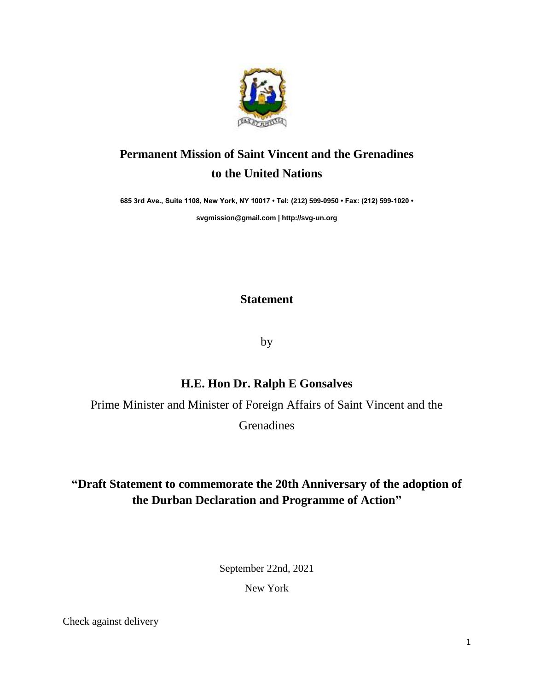

## **Permanent Mission of Saint Vincent and the Grenadines to the United Nations**

**685 3rd Ave., Suite 1108, New York, NY 10017 • Tel: (212) 599-0950 • Fax: (212) 599-1020 •** 

**[svgmission@gmail.com](mailto:svgmission@gmail.com) [| http://svg-un.org](http://svg-un.org/)**

**Statement**

by

## **H.E. Hon Dr. Ralph E Gonsalves**

Prime Minister and Minister of Foreign Affairs of Saint Vincent and the

Grenadines

## **"Draft Statement to commemorate the 20th Anniversary of the adoption of the Durban Declaration and Programme of Action"**

September 22nd, 2021

New York

Check against delivery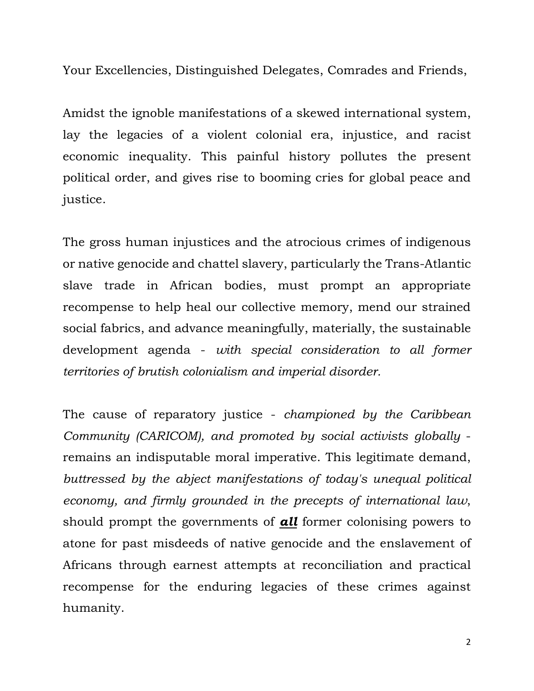Your Excellencies, Distinguished Delegates, Comrades and Friends,

Amidst the ignoble manifestations of a skewed international system, lay the legacies of a violent colonial era, injustice, and racist economic inequality. This painful history pollutes the present political order, and gives rise to booming cries for global peace and justice.

The gross human injustices and the atrocious crimes of indigenous or native genocide and chattel slavery, particularly the Trans-Atlantic slave trade in African bodies, must prompt an appropriate recompense to help heal our collective memory, mend our strained social fabrics, and advance meaningfully, materially, the sustainable development agenda - *with special consideration to all former territories of brutish colonialism and imperial disorder.* 

The cause of reparatory justice - *championed by the Caribbean Community (CARICOM), and promoted by social activists globally*  remains an indisputable moral imperative. This legitimate demand, *buttressed by the abject manifestations of today's unequal political economy, and firmly grounded in the precepts of international law*, should prompt the governments of *all* former colonising powers to atone for past misdeeds of native genocide and the enslavement of Africans through earnest attempts at reconciliation and practical recompense for the enduring legacies of these crimes against humanity.